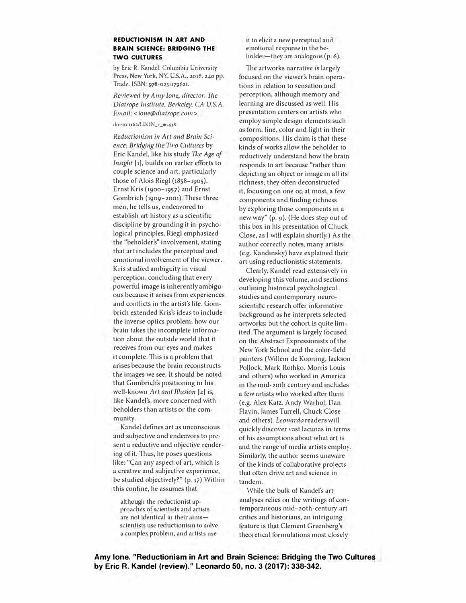## **REDUCTIONISM IN ART AND BRAIN SCIENCE: BRIDGING THE TWO CULTURES**

by Eric R. Kandel. Columbia University Press, *New* York, NY, U.S.A., **2016. 240** pp. Trade. ISBN: **97S-ol31179621.** 

*Reviewed hy Amy Jo11e, director, 111e Diatrope Institute, 8erkeley, CA U.S.A. Email: <ione@diatrope.com>.* 

## **doi:10.1162/tEON\_r\_o1438**

**Reductionism in Art and Brain Sci***ence: Bridging the Two Cultures by* Eric Kandel, like his study The Age of *Insight* [1], builds on earlier efforts to couple science and art, particularly those of Alois Rieg! (1858-1905), Ernst Kris (1900-1957) and Ernst Gombrich (1909-2001). These three men, he tells us, endeavored to establish art history as a scientific discipline by grounding it in psychological principles. Riegl emphasized the "beholder's" involvement, stating that art includes the perceptual and emotional involvement of the viewer. Kris studied ambiguity in visual perception, concluding that every powerful image is inherently ambiguous because it arises from experiences and conflicts in the artist's life. Gombrich extended Kris's ideas to include the inverse optics problem: how our brain takes the incomplete infonnation about the outside world that it receives from our eyes and makes it complete. This is a problem that arises because the brain reconstructs the images we see. 1t should be noted that Gombrich's positioning in bis well-known Art and Illusion [2] is, like Kandel's, more concerned with beholders than artists or the community.

Kandel defines art as unconscious and subjective and endeavors to present a reductive and objective rendering of it. Thus, he poses questions like: "Can any aspect of art, which *is* a creative and subjective experience, be studied objectively?'' (p. 17) Within this confine, he assumes that

although the reductionist ap• proaches of scientists and artists are not identical in their aimsscientists use reductionism to solve a complex problem, and artists use

it to elicit a new perceptual and emotional response in the beholder-they are analogous (p. 6).

The artworks narrative is largely focused on the viewer's brain operations in relation to sensation and perception, although memory and learning are discussed as well. His presentation centers on artists who employ simple design elements such as form, line, color and light in their compositions. His claim is that these kinds of works allow the beholder to reductively understand how the brain responds to art because "rather than depicting an object or image in all its richness, they often deconstructed it, focusing on one or, at most, a few components and finding richness by exploring those components in a new way" (p. 9). (He does step out of this box in his presentation of Chuck Close, as 1 will explain shortly,} As the author correctly notes, many artists (e.g. Kandinsky) have explained their art using reductionistic statements.

Clearly, Kandel read extensively in developing this volume, and sections outlining historical psychological studies and contemporary neuroscientific research offer informative background as he interprets selected artworks; but the cohort *is* quite limited. The argument is largely focused on the Abstract Expressionists of the New York School and the color-field painters (Willem de Kooning, Jackson Pollock, Mark Rothko, Morris Louis and others} who worked in America in the mid-20th century and includes a few artists who worked after them (e.g. Alex Katz, Andy Warhol, Dan Flavin, James Turrell, Chuck Close and others). *Leonardo* readers will quickly discover Yast lacunas in terms of his assumptions about what art *is*  and the range of media artists employ. Similarly, the author seems unaware of the kinds of collaborative projects that often drive art and science in tandem.

While the bulk of Kandel's art analyses relies on the writings of contemporaneous mid-20th-century art critics and historians, an intriguing feature is that Clement Greenberg's theoretical formulations most closely

Amy lone. "Reductionism in Art and Brain Science: Bridging the Two Cultures **by Eric R. Kandel (review)." Leonardo 50, no. 3 (2017): 338-342.**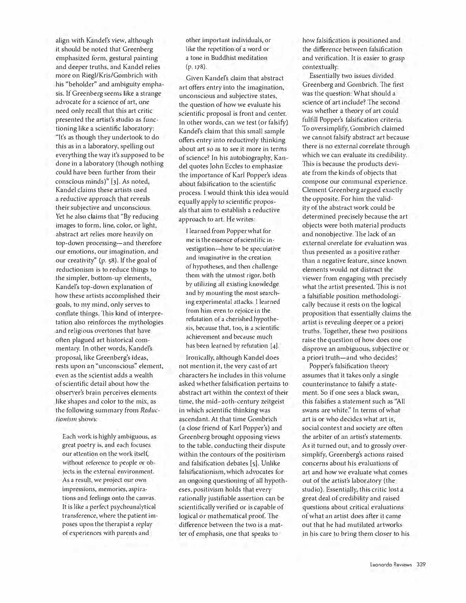align with Kandel's view, although it should be noted that Greenberg emphasized form, gestural painting and deeper truths, and Kandel relies more on Riegl/Kris/Gombrich with his "beholder" and ambiguity emphasis. lf Greenberg seems like a strange advocate *for* a science of art, one need only recall that this art critic presented the artist's studio as functioning like a scientific laboratory: "It's as though they undertook to do this as in a laboratory, spelling out everything the way it's supposed to be done in a laboratory (though nothing could have been further from their conscious minds)" [3]. As noted, Kandel claims these artists used a reductive approach that reveals their subjective and unconscious. Yet he also claims that "By reducing images to form. line, color, or light, abstract art relies more heavily on top-down processing-and therefore our emotions, our imagination. and our creativity" (p. 58). If the goal of reductionism is to reduce things to the simpler, bottom-up elements, Kandel's top-down explanation of how these artists accomplished their goals, to *my* mind, only serves to conflate things. This kind of interpretation also reinforces the mythologies and religious overtones that have often plagued art historical commentary. In other words, Kandel's proposal, like Greenberg's ideas, rests upon an "unconscious" element, even as the scientist adds a wealth of scientific detail about how the observer's brain perceives elements like shapes and color to the mix, as the following summary from *Reductionism* shows:

Each work is highly ambiguous, ns great poetry is, and each. focuses our attention on the work itself, without reference to people or objects in the external environment. As a result, we project our own impressions, memories, aspirations and feelings onto the canvas. It is like a perfect psychoanalytical transference, where the patient imposes upon the therapist a replay of experiences with parents and

other important individuals, or like the repetition of a word or a tone in Buddhist meditation (p. 178).

Given Kandel's claim that abstract art offers entry into the imagination, unconscious and subjective states, the question of how we evaluate his scientific proposal is front and center. ln other words, can we test (or falsify) Kandel's claim that this Small sample offers entry into reductively thinking about art so as to see it more in terms of science? ln his autobiography, Kandel quotes John Eccles to emphasizethe importance of Karl Popper's ideas about falsification to the scientific process. I would think this idea would equally apply to scientific proposals that aim to establish a reductive approach to art. He writes:

I learned from Popper what for me is the essence of scientific investigation-how to be speculative and imaginative in the creation of hypotheses, and then challenge them with the utmost rigor, both by utilizing all existing knowledge and by mounting the most searching experimental attacks. I learned from him even to rejoice in the refutation of a cherished hypothesis, because that, too, is a scientific achievement and because much has been learned by refutation [4].

Ironically, although Kandel does not mention it, the very cast of art characters he includes in this volume asked whether falsification pertains to abstract art within the context of their time, the mid-20th-century zeitgeist in which scientific thinking was ascendant. At that time Gombrich (a close friend of Karl Popper's) and Greenberg brought opposing views to the table, conducting their dispute within the contours of the positivism and falsification debates [5]. Unlike falsificationism, which advocates for an ongoing questioning of all hypotheses, positivism holds that *every*  rationally justifiable assertion can be scientifically verified or is capable of logical or mathematical proof. The difference between the two is a matter of emphasis, one that speaks to

how falsification is positioned and the difference between falsification and verification. It is easier to grasp contextually.

Essentially two issues divided Greenberg aud Gombrich. The first was the question: What should a science of art include? The second was whetber a theory of art could fulfill Popper's falsification criteria. To oversimplify, Gombrich claimed we cannot falsify abstract art because there is no external correlate through which we can evaluate its credibility. This is because the products deviate from the kinds of objects that compose our conumma1 experience. Clement Greenberg argued exactly the opposite. For him the validity of the abstract work could be determined precisely because the art objects were both material products and nonobjective. The Jack of an external correlate for evaluation was thus presented as a positive rather than a negative feature, since known elements would not distract the viewer from engaging with precisely what the artist presented. This is not a falsifiable position methodologically because it rests on the logical proposition that essentially claims the artist is revealing deeper or a priori truths. Together, these two positions raise the question of how does one disprove an ambiguous, subjective or a priori truth-and who decides?

Popper's falsification theory assumes that it takes only a single counterinstance to falsify a statement. So if one sees a black swan, this falsifies a statement such as "All swans are white." In terms of what art *is* or who decides what art is, social context and society are often the arbiter of an artist's statements. As it turned out, and to grossly oversimplify, Greenberg's actions raised concerns about his evaluations of art and how we evaluate what comes out of the artist's laboratory (the studio). Essentially, this critic lost a great deal of credibility and raised questions about critical evaluations ofwbat an artist does after it came out that be had mutilated artworks in his care to bring them closer to his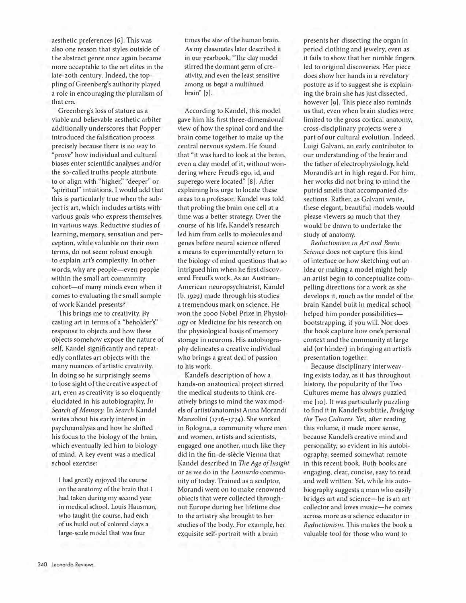aesthetic preferences [6]. This was also one reason that styles outside of the abstract genre once again became more acceptable to the art elites in the late-20th century. Indeed, the toppling of Greenberg's authority played a role in encouraging the pluralism of that era.

Greenberg's loss of stature as a viable and believable aesthetic arbiter additionally underscores that Popper introduced the falsification process precisely because there is no way to "prove" how individual and cultural biases enter scientific analyses and/or the so-called truths people attribute to or align with "higher; "deeper" or "spiritual" intuitions. I would add that this is particularly true when the subject is art, which includes artists with various goals who express themselves in various ways. Reductive studies of learning, memory, sensation and perception, while valuable on their own terms, do not seem robust enough to explain art's complexity. In other words, why are people-even people within the small art community cohort-of many minds even when it comes to evaluating the small sample of work Kandel presents?

This brings me to creativity. By casting art in terms of a "beholder's" response to objects and how these object\; somehow expose the nature of self, Kandel significantly and repeatedly conflates art objects with the many nuances of artistic creativity. In doing so he surprisingly seems to lose sight of the creative aspect of art, even as creativity is so eloquently elucidated in his autobiography, In *Search of Memory.* In *Search* Kandel writes about his early interest in psychoanalysis and how he shifted his focus to the biology of the brain, which eventually led him to biology of mind. A key event was a medical school exercise:

I had greatly enjoyed the comse on the anatomy of the brain that I had taken during my second year in medical school. Louis Hausman, who taught the course, had each of us build out of colored clays a large-scale model that was four

times the size of the human brain. As my classmates later described 11 in our yearbook, "The clay model stirred the dormant germ of creativity, and even the least sensitive among us begat a multihued brain" [7].

According to Kandel, this model gave him his first three-dimensional view of how the spinal cord and the brain come together to make up the central nervous system. He found that ''it was hard to look at the brain, even a clay model of it, without wondering where Freud's ego, id, and superego were located'' [8]. After explaining his urge to locate these areas to a professor, Kandel was told that probing the brain one cell at a time was a better strategy. Over the course of his life, Kandel's research led him from cells to molecules and genes be<sup>f</sup>ore neural science offered a means to experimentally return to the biology of mind questions that so intrigued him when he first discovered Freud's work. As an Austrian-American neuropsychiatrist, Kandel (b. 1929) made through his studies a tremendous mark on science. He won the 2000 Nobel Prize in Physiology or Medicine for his research on the physiological basis of memory storage in neurons. His autobiography delineates a creative individual who brings a great deal of passion to his work.

Kandel's description of how a hands-on anatomical project stirred the medical students to think creatively brings to mind the wax models of artist/anatomist Anna Morandi Manzolini (1716-1774). She worked in Bologna, a community where men and women, artists and scientists, engaged one another, much like they did in the fin-de-siècle Vienna that Kandel described in *The Age of Insight*  or as we do in the *Leonardo* community of today. 'frained as a sculptor, Morandi went on to make renowned objects that were collected throughout Europe during her lifetime due to the artistry she brought to her studies of tbe body. For example, her exquisite self-portrait with a brain

presents her dissecting the organ in period clothing and jewelry, even as it fails to show that her nimble fingers led to original discoveries. Her piece does show her hands in a revelatory posture as if to suggest she is explaining the brain she has just dissected, however [9]. This piece also reminds us that, even when brain studies were limited to the gross cortical anatomy, cross-disciplinary projects were a part of our cultural evolution. Indeed, Luigi Galvani, an early contributor to our understanding of the brain and the father of electrophysiology, held Morandi's art in high regard. For him, her works did not bring to mind the putrid smells that accompanied dissections. Rather, as Galvani wrote, these elegant, beautiful models would please viewers so much that they would be drawn to undertake the study of anatomy.

*Reductionism in Ari and Brain Science* does not capture this kind of interface or how sketching out an idea or making a model might help an artist begin to conceptualize compelling directions for a work as she develops it, much as the model of the brain Kandel built in medical school helped him ponder possibilitiesbootstrapping, if you will. Nor does the book capture how one's personal context and the community at large aid (or hinder) in bringing an artist's presentation together.

Because disciplinary interweaving exists today, as it has throughout history, the popularity of the Two Cultures meme has always puzzled me [ 10]. It was particularly puzzling to find it in Kandel's subtitle, *Bridging tlie Two Cultures.* Yet, after reading this volume, it made more sense, because Kandel's creative mind and personality, so evident in his autobiography, seemed somewhat remote in this recent book. Both books are engaging, clear, concise, easy to read and well written. Yet, while his autobiography suggests a man who easily bridges art and science-he is an art collector and loves music-he comes across more as a science educator in *Reductionism*. This makes the book a valuable tool for those who want to